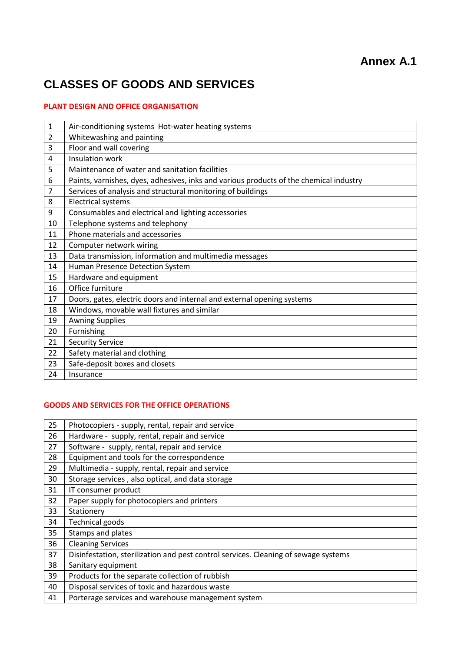# **CLASSES OF GOODS AND SERVICES**

## **PLANT DESIGN AND OFFICE ORGANISATION**

| $\mathbf{1}$   | Air-conditioning systems Hot-water heating systems                                     |
|----------------|----------------------------------------------------------------------------------------|
| $\overline{2}$ | Whitewashing and painting                                                              |
| 3              | Floor and wall covering                                                                |
| 4              | Insulation work                                                                        |
| 5              | Maintenance of water and sanitation facilities                                         |
| 6              | Paints, varnishes, dyes, adhesives, inks and various products of the chemical industry |
| 7              | Services of analysis and structural monitoring of buildings                            |
| 8              | <b>Electrical systems</b>                                                              |
| 9              | Consumables and electrical and lighting accessories                                    |
| 10             | Telephone systems and telephony                                                        |
| 11             | Phone materials and accessories                                                        |
| 12             | Computer network wiring                                                                |
| 13             | Data transmission, information and multimedia messages                                 |
| 14             | Human Presence Detection System                                                        |
| 15             | Hardware and equipment                                                                 |
| 16             | Office furniture                                                                       |
| 17             | Doors, gates, electric doors and internal and external opening systems                 |
| 18             | Windows, movable wall fixtures and similar                                             |
| 19             | <b>Awning Supplies</b>                                                                 |
| 20             | Furnishing                                                                             |
| 21             | <b>Security Service</b>                                                                |
| 22             | Safety material and clothing                                                           |
| 23             | Safe-deposit boxes and closets                                                         |
| 24             | Insurance                                                                              |

#### **GOODS AND SERVICES FOR THE OFFICE OPERATIONS**

| 25 | Photocopiers - supply, rental, repair and service                                   |
|----|-------------------------------------------------------------------------------------|
| 26 | Hardware - supply, rental, repair and service                                       |
| 27 | Software - supply, rental, repair and service                                       |
| 28 | Equipment and tools for the correspondence                                          |
| 29 | Multimedia - supply, rental, repair and service                                     |
| 30 | Storage services, also optical, and data storage                                    |
| 31 | IT consumer product                                                                 |
| 32 | Paper supply for photocopiers and printers                                          |
| 33 | Stationery                                                                          |
| 34 | <b>Technical goods</b>                                                              |
| 35 | Stamps and plates                                                                   |
| 36 | <b>Cleaning Services</b>                                                            |
| 37 | Disinfestation, sterilization and pest control services. Cleaning of sewage systems |
| 38 | Sanitary equipment                                                                  |
| 39 | Products for the separate collection of rubbish                                     |
| 40 | Disposal services of toxic and hazardous waste                                      |
| 41 | Porterage services and warehouse management system                                  |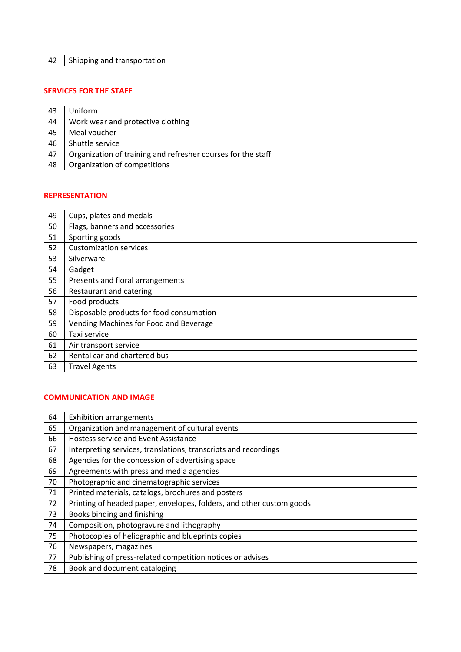## **SERVICES FOR THE STAFF**

| 43 | Uniform                                                      |
|----|--------------------------------------------------------------|
| 44 | Work wear and protective clothing                            |
| 45 | Meal voucher                                                 |
| 46 | Shuttle service                                              |
| 47 | Organization of training and refresher courses for the staff |
| 48 | Organization of competitions                                 |

#### **REPRESENTATION**

| 49 | Cups, plates and medals                  |
|----|------------------------------------------|
| 50 | Flags, banners and accessories           |
| 51 | Sporting goods                           |
| 52 | <b>Customization services</b>            |
| 53 | Silverware                               |
| 54 | Gadget                                   |
| 55 | Presents and floral arrangements         |
| 56 | Restaurant and catering                  |
| 57 | Food products                            |
| 58 | Disposable products for food consumption |
| 59 | Vending Machines for Food and Beverage   |
| 60 | Taxi service                             |
| 61 | Air transport service                    |
| 62 | Rental car and chartered bus             |
| 63 | <b>Travel Agents</b>                     |

#### **COMMUNICATION AND IMAGE**

| 64 | <b>Exhibition arrangements</b>                                       |
|----|----------------------------------------------------------------------|
| 65 | Organization and management of cultural events                       |
| 66 | Hostess service and Event Assistance                                 |
| 67 | Interpreting services, translations, transcripts and recordings      |
| 68 | Agencies for the concession of advertising space                     |
| 69 | Agreements with press and media agencies                             |
| 70 | Photographic and cinematographic services                            |
| 71 | Printed materials, catalogs, brochures and posters                   |
| 72 | Printing of headed paper, envelopes, folders, and other custom goods |
| 73 | Books binding and finishing                                          |
| 74 | Composition, photogravure and lithography                            |
| 75 | Photocopies of heliographic and blueprints copies                    |
| 76 | Newspapers, magazines                                                |
| 77 | Publishing of press-related competition notices or advises           |
| 78 | Book and document cataloging                                         |